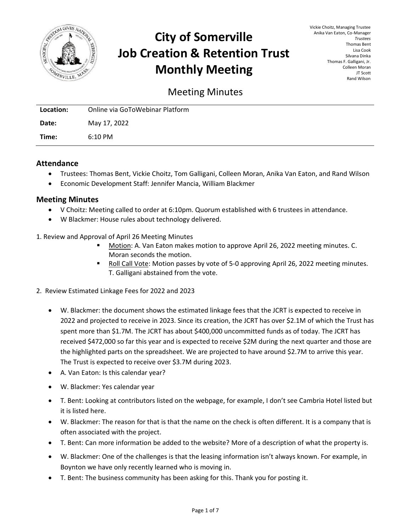

# **City of Somerville Job Creation & Retention Trust Monthly Meeting**

Vickie Choitz, Managing Trustee Anika Van Eaton, Co-Manager *Trustees* Thomas Bent Lisa Cook Silvana Dinka Thomas F. Galligani, Jr. Colleen Moran JT Scott Rand Wilson

# Meeting Minutes

| Location: | Online via GoToWebinar Platform |
|-----------|---------------------------------|
| Date:     | May 17, 2022                    |
| Time:     | $6:10 \text{ PM}$               |

# **Attendance**

- Trustees: Thomas Bent, Vickie Choitz, Tom Galligani, Colleen Moran, Anika Van Eaton, and Rand Wilson
- Economic Development Staff: Jennifer Mancia, William Blackmer

#### **Meeting Minutes**

- V Choitz: Meeting called to order at 6:10pm. Quorum established with 6 trustees in attendance.
- W Blackmer: House rules about technology delivered.
- 1. Review and Approval of April 26 Meeting Minutes
	- Motion: A. Van Eaton makes motion to approve April 26, 2022 meeting minutes. C. Moran seconds the motion.
	- Roll Call Vote: Motion passes by vote of 5-0 approving April 26, 2022 meeting minutes. T. Galligani abstained from the vote.
- 2. Review Estimated Linkage Fees for 2022 and 2023
	- W. Blackmer: the document shows the estimated linkage fees that the JCRT is expected to receive in 2022 and projected to receive in 2023. Since its creation, the JCRT has over \$2.1M of which the Trust has spent more than \$1.7M. The JCRT has about \$400,000 uncommitted funds as of today. The JCRT has received \$472,000 so far this year and is expected to receive \$2M during the next quarter and those are the highlighted parts on the spreadsheet. We are projected to have around \$2.7M to arrive this year. The Trust is expected to receive over \$3.7M during 2023.
	- A. Van Eaton: Is this calendar year?
	- W. Blackmer: Yes calendar year
	- T. Bent: Looking at contributors listed on the webpage, for example, I don't see Cambria Hotel listed but it is listed here.
	- W. Blackmer: The reason for that is that the name on the check is often different. It is a company that is often associated with the project.
	- T. Bent: Can more information be added to the website? More of a description of what the property is.
	- W. Blackmer: One of the challenges is that the leasing information isn't always known. For example, in Boynton we have only recently learned who is moving in.
	- T. Bent: The business community has been asking for this. Thank you for posting it.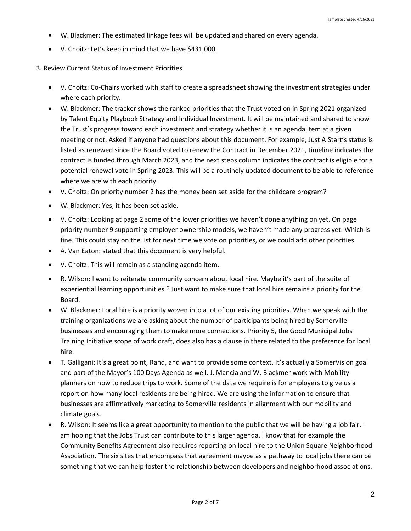- W. Blackmer: The estimated linkage fees will be updated and shared on every agenda.
- V. Choitz: Let's keep in mind that we have \$431,000.

## 3. Review Current Status of Investment Priorities

- V. Choitz: Co-Chairs worked with staff to create a spreadsheet showing the investment strategies under where each priority.
- W. Blackmer: The tracker shows the ranked priorities that the Trust voted on in Spring 2021 organized by Talent Equity Playbook Strategy and Individual Investment. It will be maintained and shared to show the Trust's progress toward each investment and strategy whether it is an agenda item at a given meeting or not. Asked if anyone had questions about this document. For example, Just A Start's status is listed as renewed since the Board voted to renew the Contract in December 2021, timeline indicates the contract is funded through March 2023, and the next steps column indicates the contract is eligible for a potential renewal vote in Spring 2023. This will be a routinely updated document to be able to reference where we are with each priority.
- V. Choitz: On priority number 2 has the money been set aside for the childcare program?
- W. Blackmer: Yes, it has been set aside.
- V. Choitz: Looking at page 2 some of the lower priorities we haven't done anything on yet. On page priority number 9 supporting employer ownership models, we haven't made any progress yet. Which is fine. This could stay on the list for next time we vote on priorities, or we could add other priorities.
- A. Van Eaton: stated that this document is very helpful.
- V. Choitz: This will remain as a standing agenda item.
- R. Wilson: I want to reiterate community concern about local hire. Maybe it's part of the suite of experiential learning opportunities.? Just want to make sure that local hire remains a priority for the Board.
- W. Blackmer: Local hire is a priority woven into a lot of our existing priorities. When we speak with the training organizations we are asking about the number of participants being hired by Somerville businesses and encouraging them to make more connections. Priority 5, the Good Municipal Jobs Training Initiative scope of work draft, does also has a clause in there related to the preference for local hire.
- T. Galligani: It's a great point, Rand, and want to provide some context. It's actually a SomerVision goal and part of the Mayor's 100 Days Agenda as well. J. Mancia and W. Blackmer work with Mobility planners on how to reduce trips to work. Some of the data we require is for employers to give us a report on how many local residents are being hired. We are using the information to ensure that businesses are affirmatively marketing to Somerville residents in alignment with our mobility and climate goals.
- R. Wilson: It seems like a great opportunity to mention to the public that we will be having a job fair. I am hoping that the Jobs Trust can contribute to this larger agenda. I know that for example the Community Benefits Agreement also requires reporting on local hire to the Union Square Neighborhood Association. The six sites that encompass that agreement maybe as a pathway to local jobs there can be something that we can help foster the relationship between developers and neighborhood associations.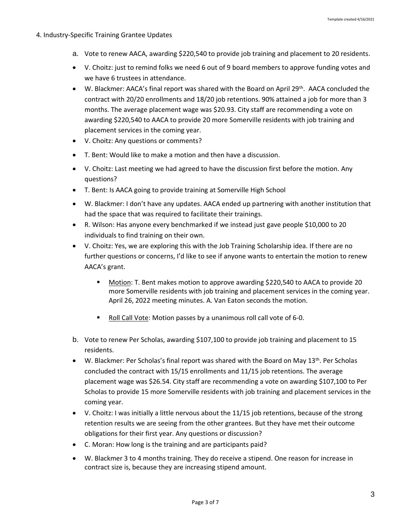#### 4. Industry-Specific Training Grantee Updates

- a. Vote to renew AACA, awarding \$220,540 to provide job training and placement to 20 residents.
- V. Choitz: just to remind folks we need 6 out of 9 board members to approve funding votes and we have 6 trustees in attendance.
- W. Blackmer: AACA's final report was shared with the Board on April 29th. AACA concluded the contract with 20/20 enrollments and 18/20 job retentions. 90% attained a job for more than 3 months. The average placement wage was \$20.93. City staff are recommending a vote on awarding \$220,540 to AACA to provide 20 more Somerville residents with job training and placement services in the coming year.
- V. Choitz: Any questions or comments?
- T. Bent: Would like to make a motion and then have a discussion.
- V. Choitz: Last meeting we had agreed to have the discussion first before the motion. Any questions?
- T. Bent: Is AACA going to provide training at Somerville High School
- W. Blackmer: I don't have any updates. AACA ended up partnering with another institution that had the space that was required to facilitate their trainings.
- R. Wilson: Has anyone every benchmarked if we instead just gave people \$10,000 to 20 individuals to find training on their own.
- V. Choitz: Yes, we are exploring this with the Job Training Scholarship idea. If there are no further questions or concerns, I'd like to see if anyone wants to entertain the motion to renew AACA's grant.
	- Motion: T. Bent makes motion to approve awarding \$220,540 to AACA to provide 20 more Somerville residents with job training and placement services in the coming year. April 26, 2022 meeting minutes. A. Van Eaton seconds the motion.
	- Roll Call Vote: Motion passes by a unanimous roll call vote of 6-0.
- b. Vote to renew Per Scholas, awarding \$107,100 to provide job training and placement to 15 residents.
- W. Blackmer: Per Scholas's final report was shared with the Board on May 13<sup>th</sup>. Per Scholas concluded the contract with 15/15 enrollments and 11/15 job retentions. The average placement wage was \$26.54. City staff are recommending a vote on awarding \$107,100 to Per Scholas to provide 15 more Somerville residents with job training and placement services in the coming year.
- V. Choitz: I was initially a little nervous about the 11/15 job retentions, because of the strong retention results we are seeing from the other grantees. But they have met their outcome obligations for their first year. Any questions or discussion?
- C. Moran: How long is the training and are participants paid?
- W. Blackmer 3 to 4 months training. They do receive a stipend. One reason for increase in contract size is, because they are increasing stipend amount.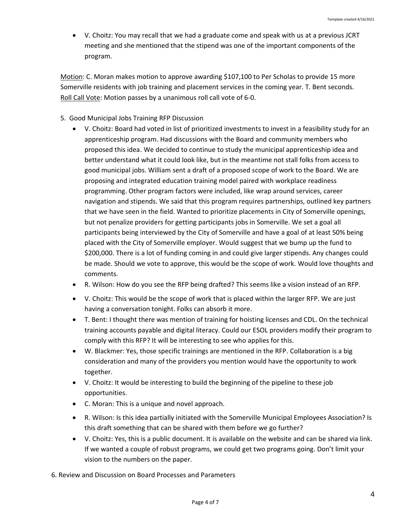• V. Choitz: You may recall that we had a graduate come and speak with us at a previous JCRT meeting and she mentioned that the stipend was one of the important components of the program.

Motion: C. Moran makes motion to approve awarding \$107,100 to Per Scholas to provide 15 more Somerville residents with job training and placement services in the coming year. T. Bent seconds. Roll Call Vote: Motion passes by a unanimous roll call vote of 6-0.

- 5. Good Municipal Jobs Training RFP Discussion
	- V. Choitz: Board had voted in list of prioritized investments to invest in a feasibility study for an apprenticeship program. Had discussions with the Board and community members who proposed this idea. We decided to continue to study the municipal apprenticeship idea and better understand what it could look like, but in the meantime not stall folks from access to good municipal jobs. William sent a draft of a proposed scope of work to the Board. We are proposing and integrated education training model paired with workplace readiness programming. Other program factors were included, like wrap around services, career navigation and stipends. We said that this program requires partnerships, outlined key partners that we have seen in the field. Wanted to prioritize placements in City of Somerville openings, but not penalize providers for getting participants jobs in Somerville. We set a goal all participants being interviewed by the City of Somerville and have a goal of at least 50% being placed with the City of Somerville employer. Would suggest that we bump up the fund to \$200,000. There is a lot of funding coming in and could give larger stipends. Any changes could be made. Should we vote to approve, this would be the scope of work. Would love thoughts and comments.
	- R. Wilson: How do you see the RFP being drafted? This seems like a vision instead of an RFP.
	- V. Choitz: This would be the scope of work that is placed within the larger RFP. We are just having a conversation tonight. Folks can absorb it more.
	- T. Bent: I thought there was mention of training for hoisting licenses and CDL. On the technical training accounts payable and digital literacy. Could our ESOL providers modify their program to comply with this RFP? It will be interesting to see who applies for this.
	- W. Blackmer: Yes, those specific trainings are mentioned in the RFP. Collaboration is a big consideration and many of the providers you mention would have the opportunity to work together.
	- V. Choitz: It would be interesting to build the beginning of the pipeline to these job opportunities.
	- C. Moran: This is a unique and novel approach.
	- R. Wilson: Is this idea partially initiated with the Somerville Municipal Employees Association? Is this draft something that can be shared with them before we go further?
	- V. Choitz: Yes, this is a public document. It is available on the website and can be shared via link. If we wanted a couple of robust programs, we could get two programs going. Don't limit your vision to the numbers on the paper.

6. Review and Discussion on Board Processes and Parameters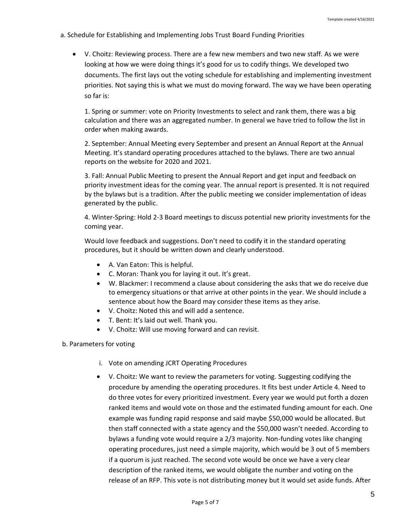- a. Schedule for Establishing and Implementing Jobs Trust Board Funding Priorities
	- V. Choitz: Reviewing process. There are a few new members and two new staff. As we were looking at how we were doing things it's good for us to codify things. We developed two documents. The first lays out the voting schedule for establishing and implementing investment priorities. Not saying this is what we must do moving forward. The way we have been operating so far is:

1. Spring or summer: vote on Priority Investments to select and rank them, there was a big calculation and there was an aggregated number. In general we have tried to follow the list in order when making awards.

2. September: Annual Meeting every September and present an Annual Report at the Annual Meeting. It's standard operating procedures attached to the bylaws. There are two annual reports on the website for 2020 and 2021.

3. Fall: Annual Public Meeting to present the Annual Report and get input and feedback on priority investment ideas for the coming year. The annual report is presented. It is not required by the bylaws but is a tradition. After the public meeting we consider implementation of ideas generated by the public.

4. Winter-Spring: Hold 2-3 Board meetings to discuss potential new priority investments for the coming year.

Would love feedback and suggestions. Don't need to codify it in the standard operating procedures, but it should be written down and clearly understood.

- A. Van Eaton: This is helpful.
- C. Moran: Thank you for laying it out. It's great.
- W. Blackmer: I recommend a clause about considering the asks that we do receive due to emergency situations or that arrive at other points in the year. We should include a sentence about how the Board may consider these items as they arise.
- V. Choitz: Noted this and will add a sentence.
- T. Bent: It's laid out well. Thank you.
- V. Choitz: Will use moving forward and can revisit.
- b. Parameters for voting
	- i. Vote on amending JCRT Operating Procedures
	- V. Choitz: We want to review the parameters for voting. Suggesting codifying the procedure by amending the operating procedures. It fits best under Article 4. Need to do three votes for every prioritized investment. Every year we would put forth a dozen ranked items and would vote on those and the estimated funding amount for each. One example was funding rapid response and said maybe \$50,000 would be allocated. But then staff connected with a state agency and the \$50,000 wasn't needed. According to bylaws a funding vote would require a 2/3 majority. Non-funding votes like changing operating procedures, just need a simple majority, which would be 3 out of 5 members if a quorum is just reached. The second vote would be once we have a very clear description of the ranked items, we would obligate the number and voting on the release of an RFP. This vote is not distributing money but it would set aside funds. After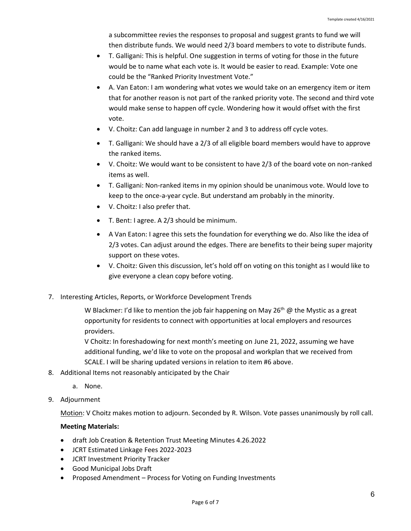a subcommittee revies the responses to proposal and suggest grants to fund we will then distribute funds. We would need 2/3 board members to vote to distribute funds.

- T. Galligani: This is helpful. One suggestion in terms of voting for those in the future would be to name what each vote is. It would be easier to read. Example: Vote one could be the "Ranked Priority Investment Vote."
- A. Van Eaton: I am wondering what votes we would take on an emergency item or item that for another reason is not part of the ranked priority vote. The second and third vote would make sense to happen off cycle. Wondering how it would offset with the first vote.
- V. Choitz: Can add language in number 2 and 3 to address off cycle votes.
- T. Galligani: We should have a 2/3 of all eligible board members would have to approve the ranked items.
- V. Choitz: We would want to be consistent to have 2/3 of the board vote on non-ranked items as well.
- T. Galligani: Non-ranked items in my opinion should be unanimous vote. Would love to keep to the once-a-year cycle. But understand am probably in the minority.
- V. Choitz: I also prefer that.
- T. Bent: I agree. A 2/3 should be minimum.
- A Van Eaton: I agree this sets the foundation for everything we do. Also like the idea of 2/3 votes. Can adjust around the edges. There are benefits to their being super majority support on these votes.
- V. Choitz: Given this discussion, let's hold off on voting on this tonight as I would like to give everyone a clean copy before voting.
- 7. Interesting Articles, Reports, or Workforce Development Trends

W Blackmer: I'd like to mention the job fair happening on May 26<sup>th</sup> @ the Mystic as a great opportunity for residents to connect with opportunities at local employers and resources providers.

V Choitz: In foreshadowing for next month's meeting on June 21, 2022, assuming we have additional funding, we'd like to vote on the proposal and workplan that we received from SCALE. I will be sharing updated versions in relation to item #6 above.

- 8. Additional Items not reasonably anticipated by the Chair
	- a. None.
- 9. Adjournment

Motion: V Choitz makes motion to adjourn. Seconded by R. Wilson. Vote passes unanimously by roll call.

## **Meeting Materials:**

- draft Job Creation & Retention Trust Meeting Minutes 4.26.2022
- JCRT Estimated Linkage Fees 2022-2023
- JCRT Investment Priority Tracker
- Good Municipal Jobs Draft
- Proposed Amendment Process for Voting on Funding Investments